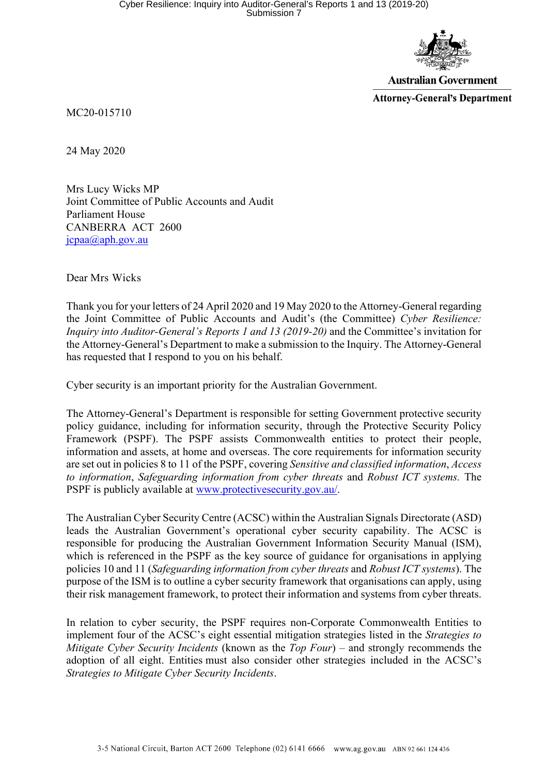

**Australian Government** 

**Attorney-General's Department** 

MC20-015710

24 May 2020

Mrs Lucy Wicks MP Joint Committee of Public Accounts and Audit Parliament House CANBERRA ACT 2600 jcpaa@aph.gov.au

Dear Mrs Wicks

Thank you for your letters of 24 April 2020 and 19 May 2020 to the Attorney-General regarding the Joint Committee of Public Accounts and Audit's (the Committee) *Cyber Resilience: Inquiry into Auditor-General's Reports 1 and 13 (2019-20)* and the Committee's invitation for the Attorney-General's Department to make a submission to the Inquiry. The Attorney-General has requested that I respond to you on his behalf.

Cyber security is an important priority for the Australian Government.

The Attorney-General's Department is responsible for setting Government protective security policy guidance, including for information security, through the Protective Security Policy Framework (PSPF). The PSPF assists Commonwealth entities to protect their people, information and assets, at home and overseas. The core requirements for information security are set out in policies 8 to 11 of the PSPF, covering *Sensitive and classified information*, *Access to information*, *Safeguarding information from cyber threats* and *Robust ICT systems.* The PSPF is publicly available at www.protectivesecurity.gov.au/.

The Australian Cyber Security Centre (ACSC) within the Australian Signals Directorate (ASD) leads the Australian Government's operational cyber security capability. The ACSC is responsible for producing the Australian Government Information Security Manual (ISM), which is referenced in the PSPF as the key source of guidance for organisations in applying policies 10 and 11 (*Safeguarding information from cyber threats* and *Robust ICT systems*). The purpose of the ISM is to outline a cyber security framework that organisations can apply, using their risk management framework, to protect their information and systems from cyber threats.

In relation to cyber security, the PSPF requires non-Corporate Commonwealth Entities to implement four of the ACSC's eight essential mitigation strategies listed in the *Strategies to Mitigate Cyber Security Incidents* (known as the *Top Four*) – and strongly recommends the adoption of all eight. Entities must also consider other strategies included in the ACSC's *Strategies to Mitigate Cyber Security Incidents*.